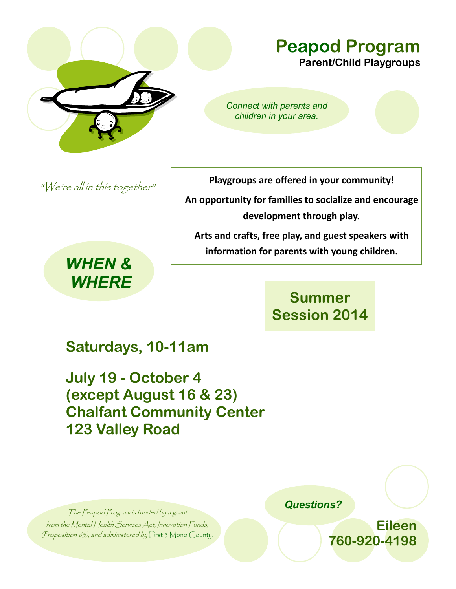

#### **Peapod Program Parent/Child Playgroups**

*Connect with parents and children in your area.*

"We're all in this together"

*WHEN & WHERE* **Playgroups are offered in your community!**

**An opportunity for families to socialize and encourage development through play.**

**Arts and crafts, free play, and guest speakers with information for parents with young children.** 

### **Summer Session 2014**

## **Saturdays, 10-11am**

**July 19 - October 4 (except August 16 & 23) Chalfant Community Center 123 Valley Road**

The Peapod Program is funded by a grant from the Mental Health Services Act, Innovation Funds, (Proposition 63), and administered by First 5 Mono County.  *Questions?*

**Eileen 760-920-4198**